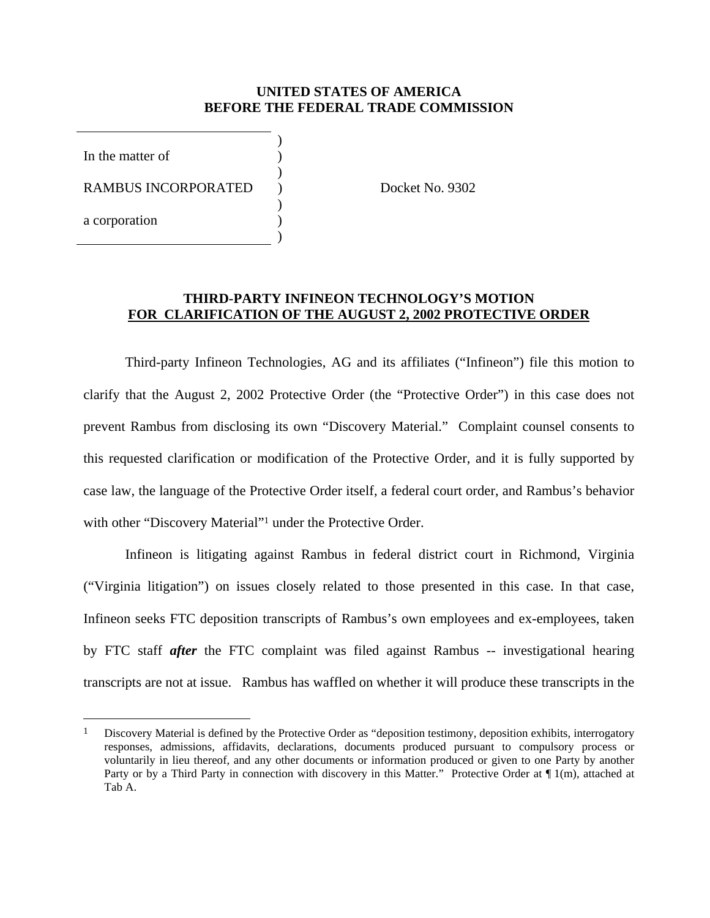### **UNITED STATES OF AMERICA BEFORE THE FEDERAL TRADE COMMISSION**

In the matter of  $\qquad \qquad$  )

a corporation )

1

RAMBUS INCORPORATED ) Docket No. 9302

 $\overline{\phantom{a}}$ 

 $\overline{\phantom{a}}$ 

 $\overline{\phantom{a}}$ 

 $\overline{\phantom{a}}$ 

## **THIRD-PARTY INFINEON TECHNOLOGY'S MOTION FOR CLARIFICATION OF THE AUGUST 2, 2002 PROTECTIVE ORDER**

 Third-party Infineon Technologies, AG and its affiliates ("Infineon") file this motion to clarify that the August 2, 2002 Protective Order (the "Protective Order") in this case does not prevent Rambus from disclosing its own "Discovery Material." Complaint counsel consents to this requested clarification or modification of the Protective Order, and it is fully supported by case law, the language of the Protective Order itself, a federal court order, and Rambus's behavior with other "Discovery Material"<sup>1</sup> under the Protective Order.

 Infineon is litigating against Rambus in federal district court in Richmond, Virginia ("Virginia litigation") on issues closely related to those presented in this case. In that case, Infineon seeks FTC deposition transcripts of Rambus's own employees and ex-employees, taken by FTC staff *after* the FTC complaint was filed against Rambus -- investigational hearing transcripts are not at issue. Rambus has waffled on whether it will produce these transcripts in the

<sup>&</sup>lt;sup>1</sup> Discovery Material is defined by the Protective Order as "deposition testimony, deposition exhibits, interrogatory responses, admissions, affidavits, declarations, documents produced pursuant to compulsory process or voluntarily in lieu thereof, and any other documents or information produced or given to one Party by another Party or by a Third Party in connection with discovery in this Matter." Protective Order at  $\P$  1(m), attached at Tab A.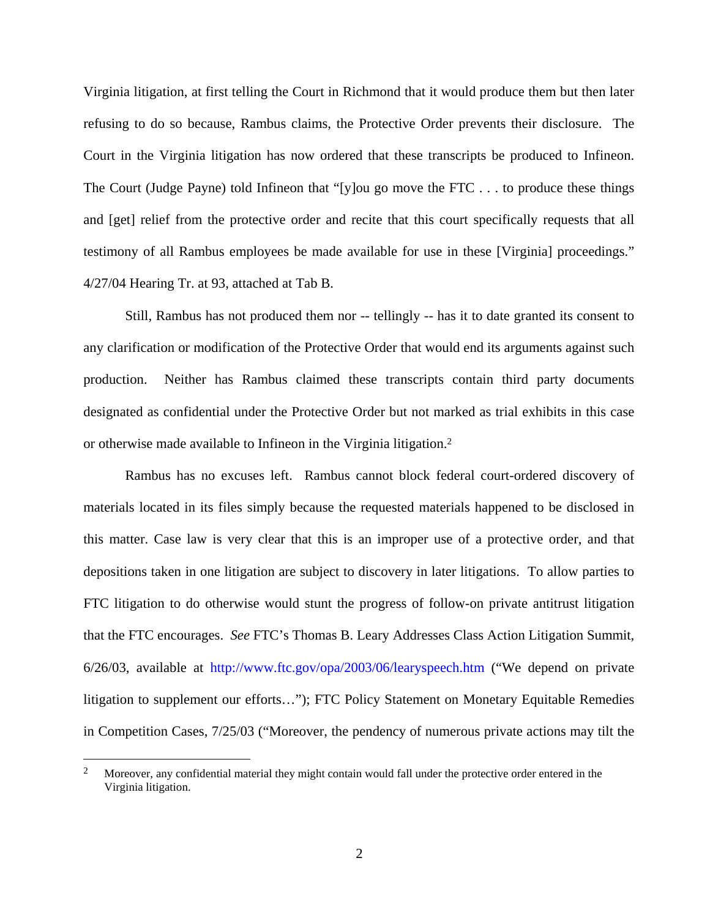Virginia litigation, at first telling the Court in Richmond that it would produce them but then later refusing to do so because, Rambus claims, the Protective Order prevents their disclosure. The Court in the Virginia litigation has now ordered that these transcripts be produced to Infineon. The Court (Judge Payne) told Infineon that "[y]ou go move the FTC . . . to produce these things and [get] relief from the protective order and recite that this court specifically requests that all testimony of all Rambus employees be made available for use in these [Virginia] proceedings." 4/27/04 Hearing Tr. at 93, attached at Tab B.

 Still, Rambus has not produced them nor -- tellingly -- has it to date granted its consent to any clarification or modification of the Protective Order that would end its arguments against such production. Neither has Rambus claimed these transcripts contain third party documents designated as confidential under the Protective Order but not marked as trial exhibits in this case or otherwise made available to Infineon in the Virginia litigation.2

Rambus has no excuses left. Rambus cannot block federal court-ordered discovery of materials located in its files simply because the requested materials happened to be disclosed in this matter. Case law is very clear that this is an improper use of a protective order, and that depositions taken in one litigation are subject to discovery in later litigations. To allow parties to FTC litigation to do otherwise would stunt the progress of follow-on private antitrust litigation that the FTC encourages. *See* FTC's Thomas B. Leary Addresses Class Action Litigation Summit, 6/26/03, available at http://www.ftc.gov/opa/2003/06/learyspeech.htm ("We depend on private litigation to supplement our efforts…"); FTC Policy Statement on Monetary Equitable Remedies in Competition Cases, 7/25/03 ("Moreover, the pendency of numerous private actions may tilt the

 $\overline{a}$ 

<sup>&</sup>lt;sup>2</sup> Moreover, any confidential material they might contain would fall under the protective order entered in the Virginia litigation.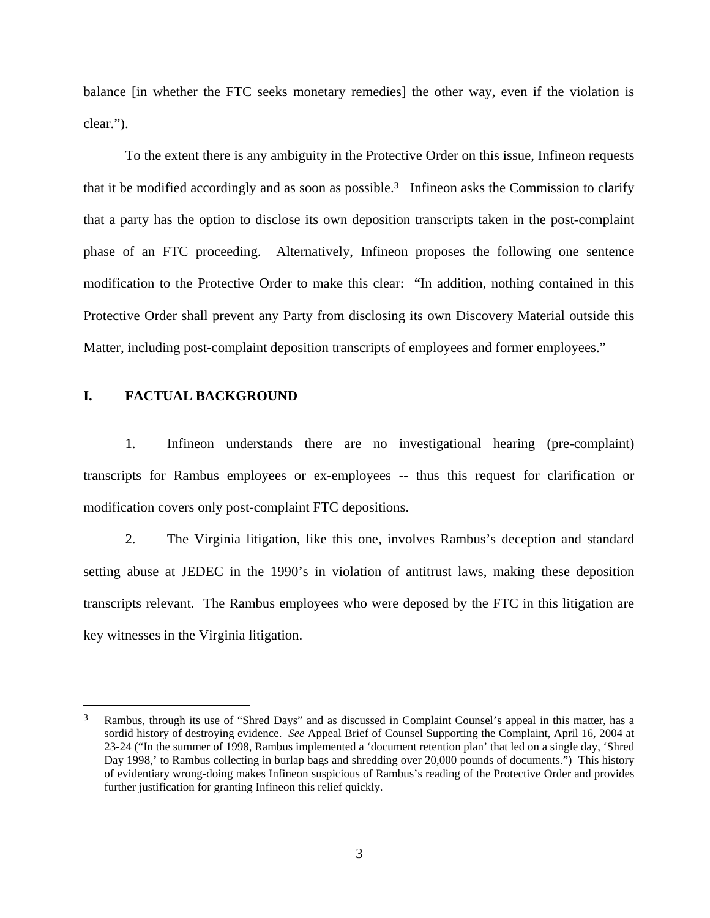balance [in whether the FTC seeks monetary remedies] the other way, even if the violation is clear.").

To the extent there is any ambiguity in the Protective Order on this issue, Infineon requests that it be modified accordingly and as soon as possible.3 Infineon asks the Commission to clarify that a party has the option to disclose its own deposition transcripts taken in the post-complaint phase of an FTC proceeding. Alternatively, Infineon proposes the following one sentence modification to the Protective Order to make this clear: "In addition, nothing contained in this Protective Order shall prevent any Party from disclosing its own Discovery Material outside this Matter, including post-complaint deposition transcripts of employees and former employees."

### **I. FACTUAL BACKGROUND**

 $\overline{a}$ 

1. Infineon understands there are no investigational hearing (pre-complaint) transcripts for Rambus employees or ex-employees -- thus this request for clarification or modification covers only post-complaint FTC depositions.

2. The Virginia litigation, like this one, involves Rambus's deception and standard setting abuse at JEDEC in the 1990's in violation of antitrust laws, making these deposition transcripts relevant. The Rambus employees who were deposed by the FTC in this litigation are key witnesses in the Virginia litigation.

<sup>3</sup> Rambus, through its use of "Shred Days" and as discussed in Complaint Counsel's appeal in this matter, has a sordid history of destroying evidence. *See* Appeal Brief of Counsel Supporting the Complaint, April 16, 2004 at 23-24 ("In the summer of 1998, Rambus implemented a 'document retention plan' that led on a single day, 'Shred Day 1998,' to Rambus collecting in burlap bags and shredding over 20,000 pounds of documents.") This history of evidentiary wrong-doing makes Infineon suspicious of Rambus's reading of the Protective Order and provides further justification for granting Infineon this relief quickly.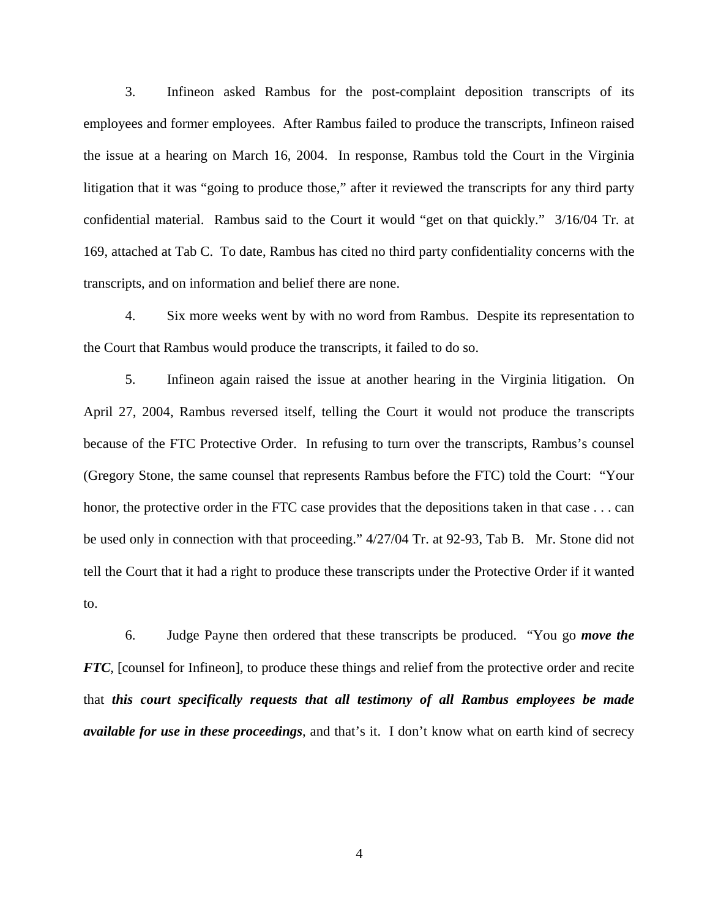3. Infineon asked Rambus for the post-complaint deposition transcripts of its employees and former employees. After Rambus failed to produce the transcripts, Infineon raised the issue at a hearing on March 16, 2004. In response, Rambus told the Court in the Virginia litigation that it was "going to produce those," after it reviewed the transcripts for any third party confidential material. Rambus said to the Court it would "get on that quickly." 3/16/04 Tr. at 169, attached at Tab C. To date, Rambus has cited no third party confidentiality concerns with the transcripts, and on information and belief there are none.

4. Six more weeks went by with no word from Rambus. Despite its representation to the Court that Rambus would produce the transcripts, it failed to do so.

5. Infineon again raised the issue at another hearing in the Virginia litigation. On April 27, 2004, Rambus reversed itself, telling the Court it would not produce the transcripts because of the FTC Protective Order. In refusing to turn over the transcripts, Rambus's counsel (Gregory Stone, the same counsel that represents Rambus before the FTC) told the Court: "Your honor, the protective order in the FTC case provides that the depositions taken in that case . . . can be used only in connection with that proceeding." 4/27/04 Tr. at 92-93, Tab B. Mr. Stone did not tell the Court that it had a right to produce these transcripts under the Protective Order if it wanted to.

6. Judge Payne then ordered that these transcripts be produced. "You go *move the FTC*, [counsel for Infineon], to produce these things and relief from the protective order and recite that *this court specifically requests that all testimony of all Rambus employees be made available for use in these proceedings*, and that's it. I don't know what on earth kind of secrecy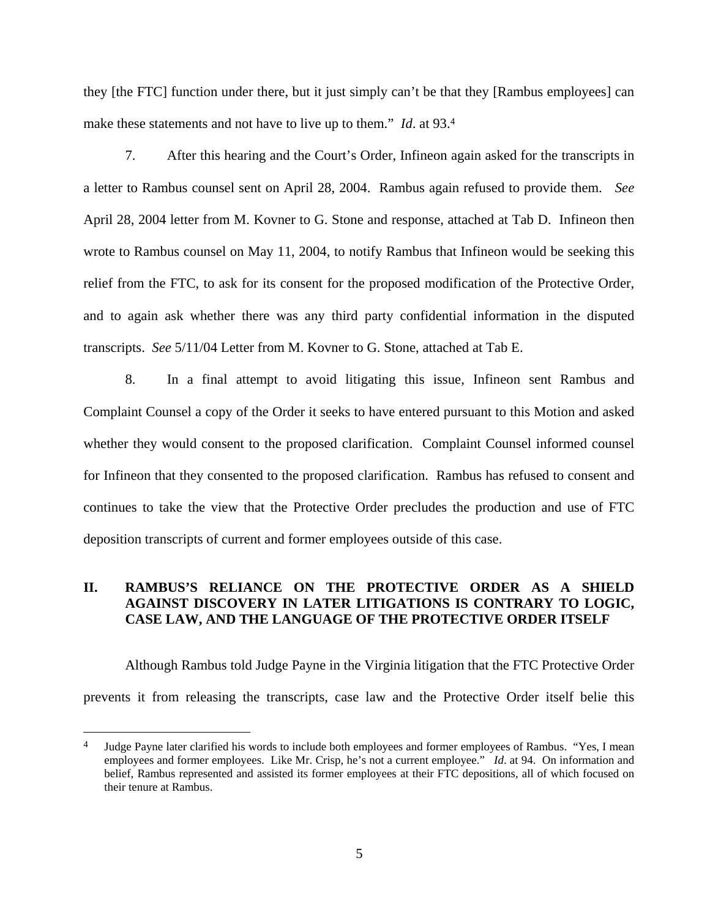they [the FTC] function under there, but it just simply can't be that they [Rambus employees] can make these statements and not have to live up to them." *Id*. at 93.4

7. After this hearing and the Court's Order, Infineon again asked for the transcripts in a letter to Rambus counsel sent on April 28, 2004. Rambus again refused to provide them. *See* April 28, 2004 letter from M. Kovner to G. Stone and response, attached at Tab D. Infineon then wrote to Rambus counsel on May 11, 2004, to notify Rambus that Infineon would be seeking this relief from the FTC, to ask for its consent for the proposed modification of the Protective Order, and to again ask whether there was any third party confidential information in the disputed transcripts. *See* 5/11/04 Letter from M. Kovner to G. Stone, attached at Tab E.

8. In a final attempt to avoid litigating this issue, Infineon sent Rambus and Complaint Counsel a copy of the Order it seeks to have entered pursuant to this Motion and asked whether they would consent to the proposed clarification. Complaint Counsel informed counsel for Infineon that they consented to the proposed clarification. Rambus has refused to consent and continues to take the view that the Protective Order precludes the production and use of FTC deposition transcripts of current and former employees outside of this case.

# **II. RAMBUS'S RELIANCE ON THE PROTECTIVE ORDER AS A SHIELD AGAINST DISCOVERY IN LATER LITIGATIONS IS CONTRARY TO LOGIC, CASE LAW, AND THE LANGUAGE OF THE PROTECTIVE ORDER ITSELF**

 Although Rambus told Judge Payne in the Virginia litigation that the FTC Protective Order prevents it from releasing the transcripts, case law and the Protective Order itself belie this

 $\overline{a}$ 

<sup>&</sup>lt;sup>4</sup> Judge Payne later clarified his words to include both employees and former employees of Rambus. "Yes, I mean employees and former employees. Like Mr. Crisp, he's not a current employee." *Id.* at 94. On information and belief, Rambus represented and assisted its former employees at their FTC depositions, all of which focused on their tenure at Rambus.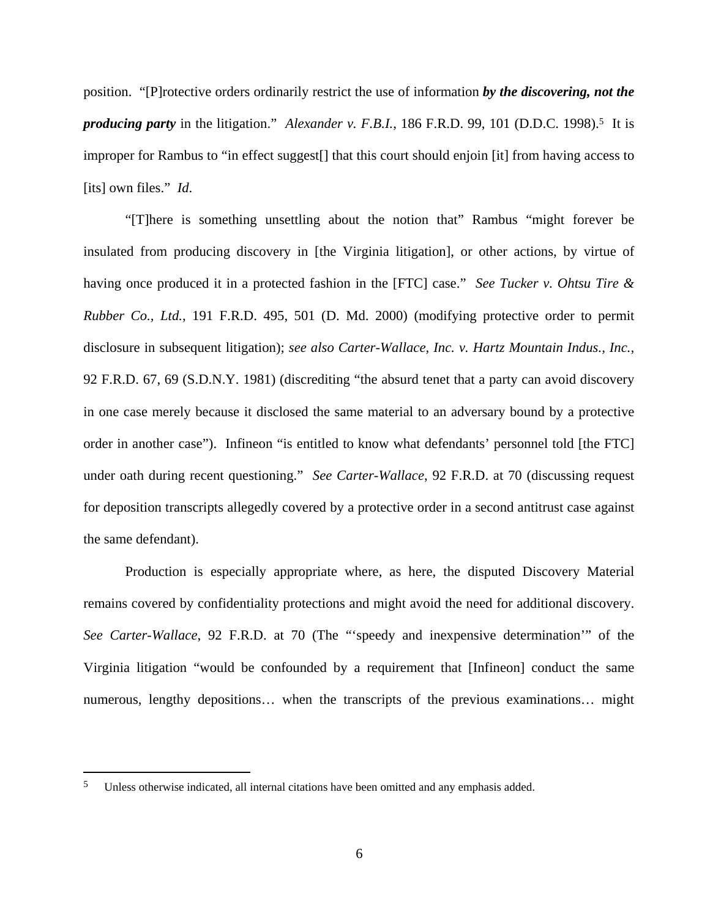position. "[P]rotective orders ordinarily restrict the use of information *by the discovering, not the producing party* in the litigation." *Alexander v. F.B.I.*, 186 F.R.D. 99, 101 (D.D.C. 1998).<sup>5</sup> It is improper for Rambus to "in effect suggest[] that this court should enjoin [it] from having access to [its] own files." *Id*.

 "[T]here is something unsettling about the notion that" Rambus "might forever be insulated from producing discovery in [the Virginia litigation], or other actions, by virtue of having once produced it in a protected fashion in the [FTC] case." *See Tucker v. Ohtsu Tire & Rubber Co., Ltd.*, 191 F.R.D. 495, 501 (D. Md. 2000) (modifying protective order to permit disclosure in subsequent litigation); *see also Carter-Wallace, Inc. v. Hartz Mountain Indus., Inc.,*  92 F.R.D. 67, 69 (S.D.N.Y. 1981) (discrediting "the absurd tenet that a party can avoid discovery in one case merely because it disclosed the same material to an adversary bound by a protective order in another case"). Infineon "is entitled to know what defendants' personnel told [the FTC] under oath during recent questioning." *See Carter-Wallace*, 92 F.R.D. at 70 (discussing request for deposition transcripts allegedly covered by a protective order in a second antitrust case against the same defendant).

 Production is especially appropriate where, as here, the disputed Discovery Material remains covered by confidentiality protections and might avoid the need for additional discovery. *See Carter-Wallace*, 92 F.R.D. at 70 (The "'speedy and inexpensive determination'" of the Virginia litigation "would be confounded by a requirement that [Infineon] conduct the same numerous, lengthy depositions… when the transcripts of the previous examinations… might

1

<sup>5</sup> Unless otherwise indicated, all internal citations have been omitted and any emphasis added.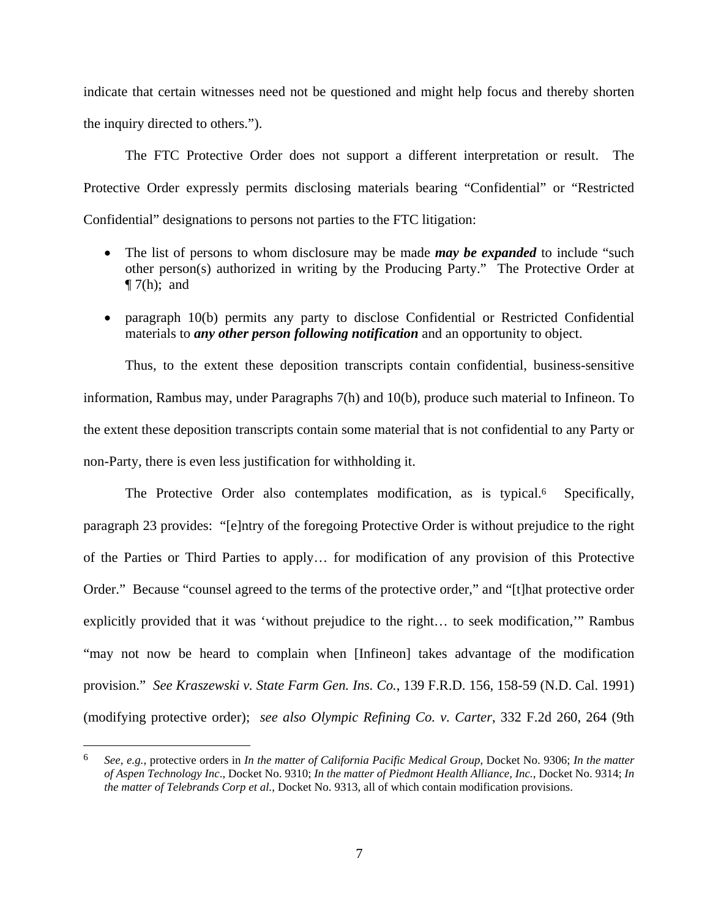indicate that certain witnesses need not be questioned and might help focus and thereby shorten the inquiry directed to others.").

 The FTC Protective Order does not support a different interpretation or result. The Protective Order expressly permits disclosing materials bearing "Confidential" or "Restricted Confidential" designations to persons not parties to the FTC litigation:

- The list of persons to whom disclosure may be made *may be expanded* to include "such other person(s) authorized in writing by the Producing Party." The Protective Order at  $\P$  7(h); and
- paragraph 10(b) permits any party to disclose Confidential or Restricted Confidential materials to *any other person following notification* and an opportunity to object.

 Thus, to the extent these deposition transcripts contain confidential, business-sensitive information, Rambus may, under Paragraphs 7(h) and 10(b), produce such material to Infineon. To the extent these deposition transcripts contain some material that is not confidential to any Party or non-Party, there is even less justification for withholding it.

The Protective Order also contemplates modification, as is typical.<sup>6</sup> Specifically, paragraph 23 provides: "[e]ntry of the foregoing Protective Order is without prejudice to the right of the Parties or Third Parties to apply… for modification of any provision of this Protective Order." Because "counsel agreed to the terms of the protective order," and "[t]hat protective order explicitly provided that it was 'without prejudice to the right… to seek modification,'" Rambus "may not now be heard to complain when [Infineon] takes advantage of the modification provision." *See Kraszewski v. State Farm Gen. Ins. Co.*, 139 F.R.D. 156, 158-59 (N.D. Cal. 1991) (modifying protective order); *see also Olympic Refining Co. v. Carter*, 332 F.2d 260, 264 (9th

1

<sup>6</sup> *See, e.g.,* protective orders in *In the matter of California Pacific Medical Group*, Docket No. 9306; *In the matter of Aspen Technology Inc*., Docket No. 9310; *In the matter of Piedmont Health Alliance, Inc.*, Docket No. 9314; *In the matter of Telebrands Corp et al.*, Docket No. 9313, all of which contain modification provisions.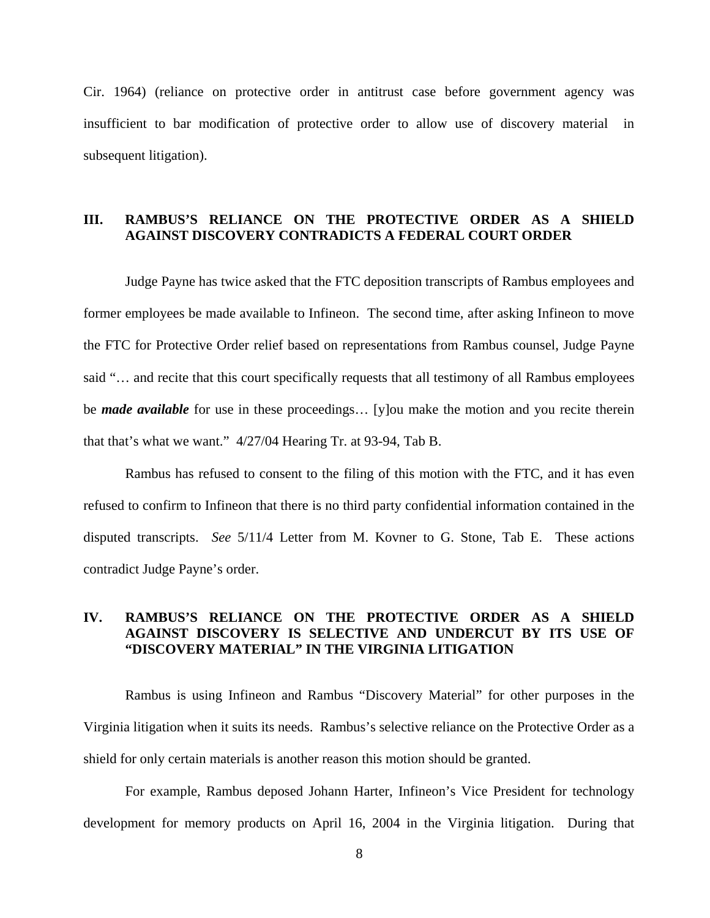Cir. 1964) (reliance on protective order in antitrust case before government agency was insufficient to bar modification of protective order to allow use of discovery material in subsequent litigation).

## **III. RAMBUS'S RELIANCE ON THE PROTECTIVE ORDER AS A SHIELD AGAINST DISCOVERY CONTRADICTS A FEDERAL COURT ORDER**

 Judge Payne has twice asked that the FTC deposition transcripts of Rambus employees and former employees be made available to Infineon. The second time, after asking Infineon to move the FTC for Protective Order relief based on representations from Rambus counsel, Judge Payne said "… and recite that this court specifically requests that all testimony of all Rambus employees be *made available* for use in these proceedings… [y]ou make the motion and you recite therein that that's what we want." 4/27/04 Hearing Tr. at 93-94, Tab B.

 Rambus has refused to consent to the filing of this motion with the FTC, and it has even refused to confirm to Infineon that there is no third party confidential information contained in the disputed transcripts. *See* 5/11/4 Letter from M. Kovner to G. Stone, Tab E. These actions contradict Judge Payne's order.

## **IV. RAMBUS'S RELIANCE ON THE PROTECTIVE ORDER AS A SHIELD AGAINST DISCOVERY IS SELECTIVE AND UNDERCUT BY ITS USE OF "DISCOVERY MATERIAL" IN THE VIRGINIA LITIGATION**

 Rambus is using Infineon and Rambus "Discovery Material" for other purposes in the Virginia litigation when it suits its needs. Rambus's selective reliance on the Protective Order as a shield for only certain materials is another reason this motion should be granted.

 For example, Rambus deposed Johann Harter, Infineon's Vice President for technology development for memory products on April 16, 2004 in the Virginia litigation. During that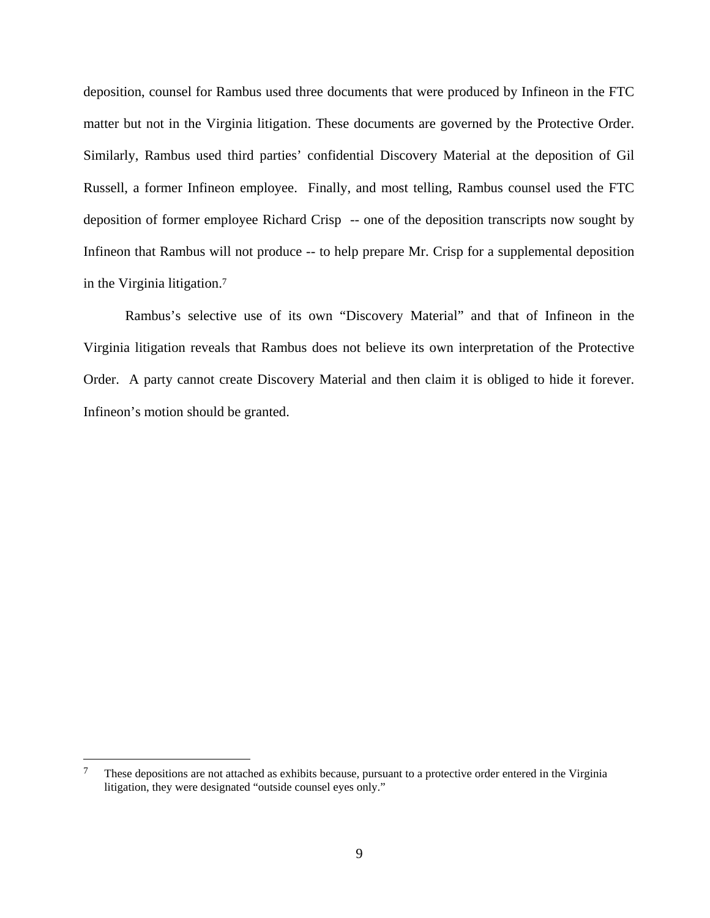deposition, counsel for Rambus used three documents that were produced by Infineon in the FTC matter but not in the Virginia litigation. These documents are governed by the Protective Order. Similarly, Rambus used third parties' confidential Discovery Material at the deposition of Gil Russell, a former Infineon employee. Finally, and most telling, Rambus counsel used the FTC deposition of former employee Richard Crisp -- one of the deposition transcripts now sought by Infineon that Rambus will not produce -- to help prepare Mr. Crisp for a supplemental deposition in the Virginia litigation.7

 Rambus's selective use of its own "Discovery Material" and that of Infineon in the Virginia litigation reveals that Rambus does not believe its own interpretation of the Protective Order. A party cannot create Discovery Material and then claim it is obliged to hide it forever. Infineon's motion should be granted.

 $\overline{a}$ 

<sup>&</sup>lt;sup>7</sup> These depositions are not attached as exhibits because, pursuant to a protective order entered in the Virginia litigation, they were designated "outside counsel eyes only."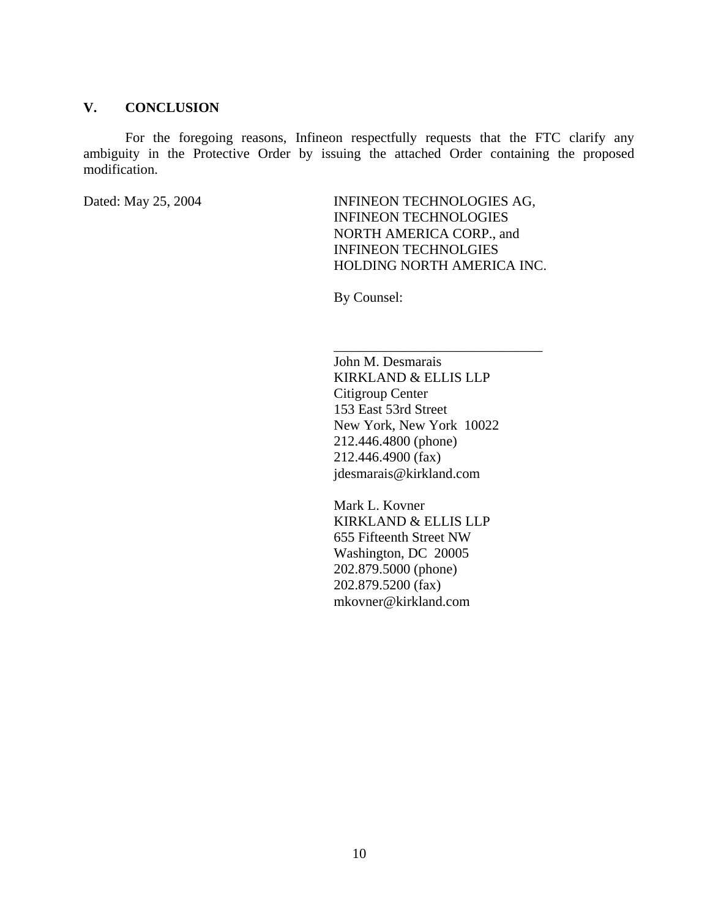### **V. CONCLUSION**

 For the foregoing reasons, Infineon respectfully requests that the FTC clarify any ambiguity in the Protective Order by issuing the attached Order containing the proposed modification.

Dated: May 25, 2004 **INFINEON TECHNOLOGIES AG,** INFINEON TECHNOLOGIES NORTH AMERICA CORP., and INFINEON TECHNOLGIES HOLDING NORTH AMERICA INC.

\_\_\_\_\_\_\_\_\_\_\_\_\_\_\_\_\_\_\_\_\_\_\_\_\_\_\_\_\_\_

By Counsel:

John M. Desmarais KIRKLAND & ELLIS LLP Citigroup Center 153 East 53rd Street New York, New York 10022 212.446.4800 (phone) 212.446.4900 (fax) jdesmarais@kirkland.com

Mark L. Kovner KIRKLAND & ELLIS LLP 655 Fifteenth Street NW Washington, DC 20005 202.879.5000 (phone) 202.879.5200 (fax) mkovner@kirkland.com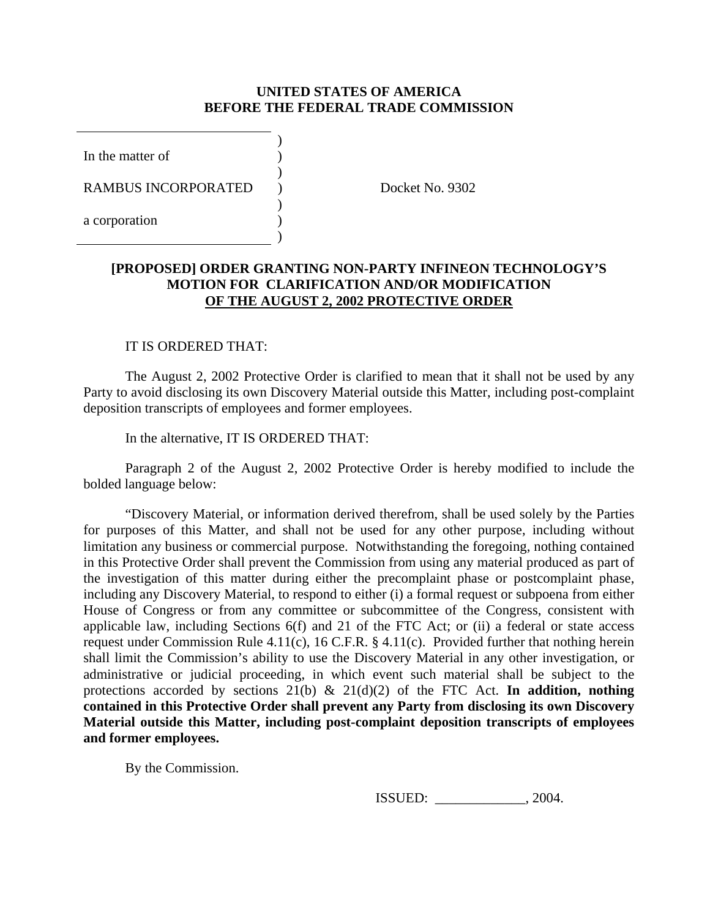### **UNITED STATES OF AMERICA BEFORE THE FEDERAL TRADE COMMISSION**

| In the matter of           |  |
|----------------------------|--|
| <b>RAMBUS INCORPORATED</b> |  |
| a corporation              |  |

 $\overline{\phantom{a}}$ 

Docket No. 9302

# **[PROPOSED] ORDER GRANTING NON-PARTY INFINEON TECHNOLOGY'S MOTION FOR CLARIFICATION AND/OR MODIFICATION OF THE AUGUST 2, 2002 PROTECTIVE ORDER**

### IT IS ORDERED THAT:

The August 2, 2002 Protective Order is clarified to mean that it shall not be used by any Party to avoid disclosing its own Discovery Material outside this Matter, including post-complaint deposition transcripts of employees and former employees.

In the alternative, IT IS ORDERED THAT:

Paragraph 2 of the August 2, 2002 Protective Order is hereby modified to include the bolded language below:

"Discovery Material, or information derived therefrom, shall be used solely by the Parties for purposes of this Matter, and shall not be used for any other purpose, including without limitation any business or commercial purpose. Notwithstanding the foregoing, nothing contained in this Protective Order shall prevent the Commission from using any material produced as part of the investigation of this matter during either the precomplaint phase or postcomplaint phase, including any Discovery Material, to respond to either (i) a formal request or subpoena from either House of Congress or from any committee or subcommittee of the Congress, consistent with applicable law, including Sections 6(f) and 21 of the FTC Act; or (ii) a federal or state access request under Commission Rule 4.11(c), 16 C.F.R. § 4.11(c). Provided further that nothing herein shall limit the Commission's ability to use the Discovery Material in any other investigation, or administrative or judicial proceeding, in which event such material shall be subject to the protections accorded by sections 21(b) & 21(d)(2) of the FTC Act. **In addition, nothing contained in this Protective Order shall prevent any Party from disclosing its own Discovery Material outside this Matter, including post-complaint deposition transcripts of employees and former employees.**

By the Commission.

ISSUED: \_\_\_\_\_\_\_\_\_\_\_\_\_, 2004.